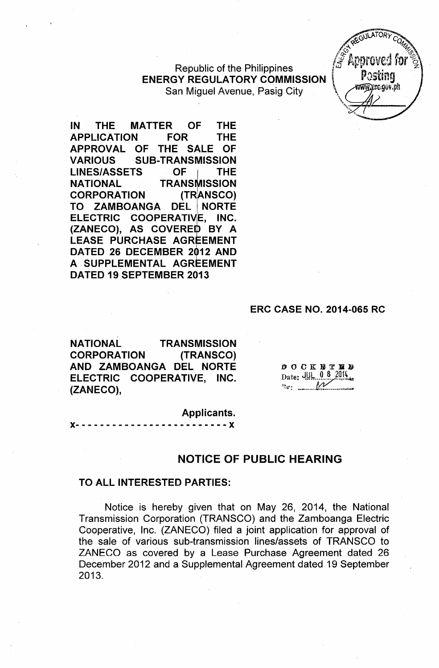**Republic of the Philippines ENERGY REGULATORY COMMISSION**<br>San Miguel Avenue, Pasig City



**IN THE MATTER OF THE APPLICATION FOR THE APPROVAL OF THE SALE OF VARIOUS SUB-TRANSMISSION LINES/ASSETS** OFI **THE NATIONAL TRANSMISSION**<br>CORPORATION (TRANSCO) **CORPORATION TO ZAMBOANGA DEL <sup>I</sup> NORTE ELECTRIC COOPERATIVIE, INC. (ZANECO), AS COVEREID BY A LEASE PURCHASE AGREEMENT DATED 26 DECEMBER 2012 AND A SUPPLEMENTAL AGREEMENT DATED 19 SEPTEMBER 2013**

#### **ERC CASE NO. 2014-065 RC**

**NATIONAL TRANSMISSION CORPORATION (TRANSCO) AND ZAMBOANGA DEL NORTE ELECTRIC COOPERATIVE, INC. (ZANECO),**

**DOCK BTED** Date: JUL 0 8 2014  $\mathbb{R}$   $\mathbb{R}$ 

**Applicants.**

 $- - - X$ 

#### **NOTICE OF PUBLIC HEARING**

#### **TO ALL INTERESTED PARTIES:**

Notice is hereby given that on May 26, 2014, the National Transmission Corporation (TRANSCO) and the Zamboanga Electric Cooperative, Inc. (ZANECO) filed a joint application for approval of the sale of various sub-transmission lines/assets of TRANSCO to ZANECO as covered by a Lease Purchase Agreement dated 26 December 2012 and a Supplemental Agreement dated 19 September 2013.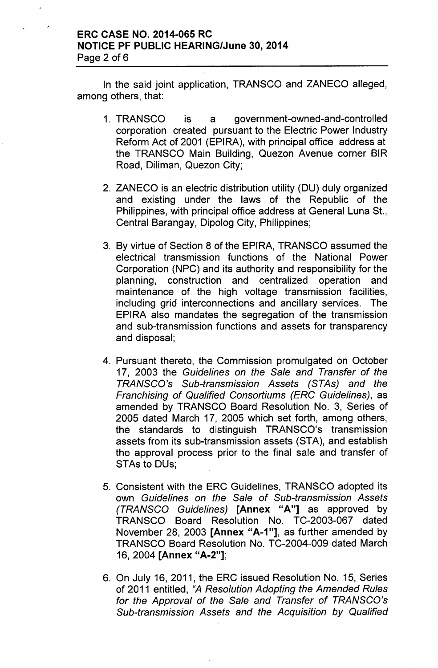## ERC CASE NO. 2014-065 RC NOTICE PF PUBLIC HEARING/June 30, 2014 Page 2 of 6

In the said joint application, TRANSCO and ZANECO alleged, among others, that:

- 1. TRANSCO is a government-owned-and-controlled corporation created pursuant to the Electric Power Industry Reform Act of 2001 (EPIRA), with principal office address at the TRANSCO Main Building, Quezon Avenue corner BIR Road, Diliman, Quezon City;
- 2. ZANECO is an electric distribution utility (DU) duly organized and existing under the laws of the Republic of the Philippines, with principal office address at General Luna St., Central Barangay, Dipolog City, Philippines;
- 3. By virtue of Section 8 of the EPIRA, TRANSCO assumed the electrical transmission functions of the National Power Corporation (NPC) and its authority and responsibility for the planning, construction and centralized operation and maintenance of the high voltage transmission facilities, including grid interconnections and ancillary services. The EPIRA also mandates the segregation of the transmission and sub-transmission functions and assets for transparency and disposal;
- 4. Pursuant thereto, the Commission promulgated on October 17, 2003 the *Guidelines on the Sale and Transfer of the TRANSCO's Sub-transmission* Assets *(STAs) and the Franchising of Qualified Consortiums (ERC Guidelines),* as amended by TRANSCO Board Resolution No. 3, Series of 2005 dated March 17, 2005 which set forth, among others, the standards to distinguish TRANSCO's transmission assets from its sub-transmission assets (STA), and establish the approval process prior to the final sale and transfer of STAs to DUs;
- 5. Consistent with the ERC Guidelines, TRANSCO adopted its own *Guidelines on the Sale of Sub-transmission* Assets *(TRANSCO Guidelines)* [Annex "A"] as approved by TRANSCO Board Resolution No. TC-2003-067 dated November 28, 2003 [Annex "A-1"], as further amended by TRANSCO Board Resolution No. TC-2004-009 dated March 16, 2004 [Annex "A-2"];
- 6. On July 16, 2011, the ERC issued Resolution No. 15, Series of 2011 entitled, "A *Resolution Adopting the Amended Rules for the Approval of the Sale and Transfer of TRANSCO's Sub-transmission* Assets *and the Acquisition by Qualified*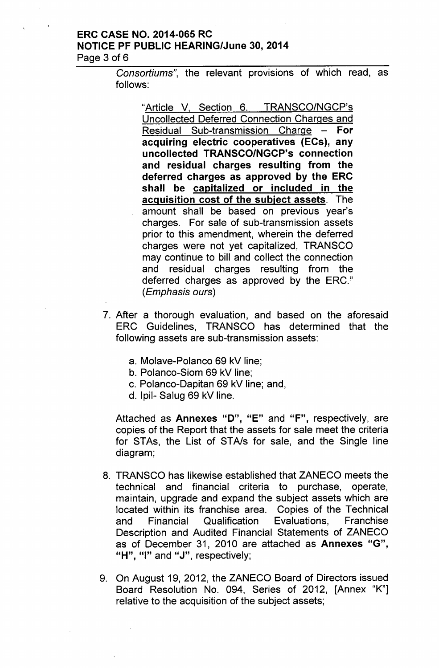## ERC CASE NO. 2014-065 RC NOTICE PF PUBLIC HEARING/June 30,2014 Page 3 of 6

*Consortiums",* the relevant provisions of which read, as follows:

"Article V, Section 6. TRANSCO/NGCP's Uncollected Deferred Connection Charges and Residual Sub-transmission Charge  $-$  For acquiring electric cooperatives (ECs), any uncollected TRANSCO/NGCP's connection and residual charges resulting from the deferred charges as approved by the ERC shall be capitalized or included in the acquisition cost of the subject assets. The amount shall be based on previous year's charges. For sale of sub-transmission assets prior to this amendment, wherein the deferred charges were not yet capitalized, TRANSCO may continue to bill and collect the connection and residual charges resulting from the deferred charges as approved by the ERC." *(Emphasis ours)*

- 7. After a thorough evaluation, and based on the aforesaid ERC Guidelines, TRANSCO has determined that the following assets are sub-transmission assets:
	- a. Molave-Polanco 69 kV line;
	- b. Polanco-Siom 69 kV line;
	- c. Polanco-Dapitan 69 kV line; and,
	- d. Ipil- Salug 69 kV line.

Attached as Annexes "D", "E" and "F", respectively, are copies of the Report that the assets for sale meet the criteria for STAs, the List of ST*Als* for sale, and the Single line diagram;

- 8. TRANSCO has likewise established that ZANECO meets the technical and financial criteria to purchase, operate, maintain, upgrade and expand the subject assets which are located within its franchise area. Copies of the Technical and Financial Qualification Evaluations, Franchise Description and Audited Financial Statements of ZANECO as of December 31, 2010 are attached as Annexes "G", "H", "I" and "J", respectively;
- 9. On August 19, 2012, the ZANECO Board of Directors issued Board Resolution No. 094, Series of 2012, [Annex "K"] relative to the acquisition of the subject assets;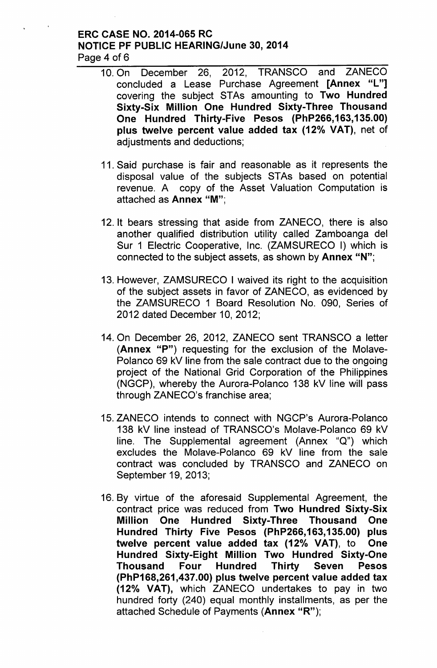## ERC CASE NO. 2014-065 RC NOTICE PF PUBLIC HEARING/June 30, 2014 Page 4 of 6

- 10. On December 26, 2012, TRANSCO and ZANECO concluded a Lease Purchase Agreement [Annex "L"] covering the subject STAs amounting to Two Hundred Sixty-Six Million One Hundred Sixty-Three Thousand One Hundred Thirty-Five Pesos (PhP266,163,135.00) plus twelve percent value added tax (12% VAT), net of adjustments and deductions;
	- 11. Said purchase is fair and reasonable as it represents the disposal value of the subjects STAs based on potential revenue. A copy of the Asset Valuation Computation is attached as Annex "M'",
	- 12. It bears stressing that aside from ZANECO, there is also another qualified distribution utility called Zamboanga del Sur 1 Electric Cooperative, Inc. (ZAMSURECO I) which is connected to the subject assets, as shown by Annex "N";
	- 13. However, ZAMSURECO I waived its right to the acquisition of the subject assets in favor of ZANECO, as evidenced by the ZAMSURECO 1 Board Resolution No. 090, Series of 2012 dated December 10,2012;
	- 14. On December 26, 2012, ZANECO sent TRANSCO a letter (Annex "P") requesting for the exclusion of the Molave-Polanco 69 kV line from the sale contract due to the ongoing project of the National Grid Corporation of the Philippines (NGCP), whereby the Aurora-Polanco 138 kV line will pass through ZANECO's franchise area;
	- 15. ZANECO intends to connect with NGCP's Aurora-Polanco 138 kV line instead of TRANSCO's Molave-Polanco 69 kV line. The Supplemental agreement (Annex "Q") which excludes the Molave-Polanco 69 kV line from the sale contract was concluded by TRANSCO and ZANECO on September 19, 2013;
- 16. By virtue of the aforesaid Supplemental Agreement, the contract price was reduced from Two Hundred Sixty-Six Million One Hundred Sixty-Three Thousand One Hundred Thirty Five Pesos (PhP266,163,135.00) plus twelve percent value added tax (12% VAT), to One Hundred Sixty-Eight Million Two Hundred Sixty-One Thousand Four Hundred Thirty Seven Pesos (PhP168,261,437.00) plus twelve percent value added tax (12% VAT), which ZANECO undertakes to pay in two hundred forty (240) equal monthly installments, as per the attached Schedule of Payments (Annex "R");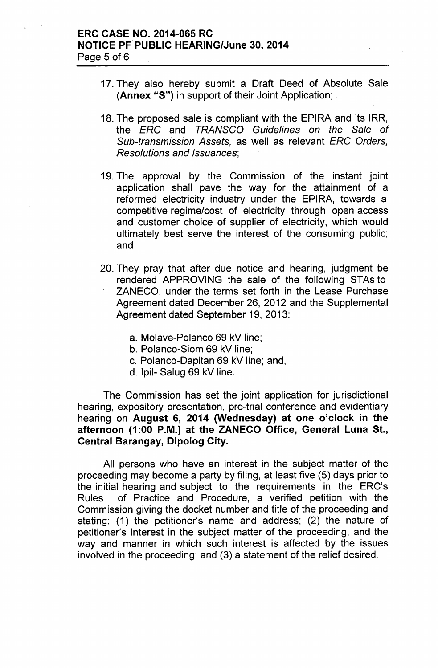## ERC CASE NO. 2014-065 RC NOTICE PF PUBLIC HEARING/June 30, 2014 Page 5 of 6

- 17. They also hereby submit a Draft Deed of Absolute Sale (Annex "5") in support of their Joint Application;
- 18. The proposed sale is compliant with the EPIRA and its IRR, the *ERG* and *TRANSGO Guidelines on the Sale of Sub-transmission Assets,* as well as relevant *ERG Orders, Resolutions and Issuances;*
- 19. The approval by the Commission of the instant joint application shall pave the way for the attainment of a reformed electricity industry under the EPIRA, towards a competitive regime/cost of electricity through open access and customer choice of supplier of electricity, which would ultimately best serve the interest of the consuming public; and
- 20. They pray that after due notice and hearing, judgment be rendered APPROVING the sale of the following STAs to ZANECO, under the terms set forth in the Lease Purchase Agreement dated December 26, 2012 and the Supplemental Agreement dated September 19, 2013:
	- a. Molave-Polanco 69 kV line;
	- b. Polanco-Siom 69 kV line;
	- c. Polanco-Dapitan 69 kV line; and,
	- d. Ipil- Salug 69 kV line.

The Commission has set the joint application for jurisdictional hearing, expository presentation, pre-trial conference and evidentiary hearing on August 6, 2014 (Wednesday) at one o'clock in the afternoon (1:00 P.M.) at the ZANECO Office, General Luna St., Central Barangay, Dipolog City.

All persons who have an interest in the subject matter of the proceeding may become a party by filing, at least five (5) days prior to the initial hearing and subject to the requirements in the ERC's Rules of Practice and Procedure, a verified petition with the Commission giving the docket number and title of the proceeding and stating: (1) the petitioner's name and address; (2) the nature of petitioner's interest in the subject matter of the proceeding, and the way and manner in which such interest is affected by the issues involved in the proceeding; and (3) a statement of the relief desired.